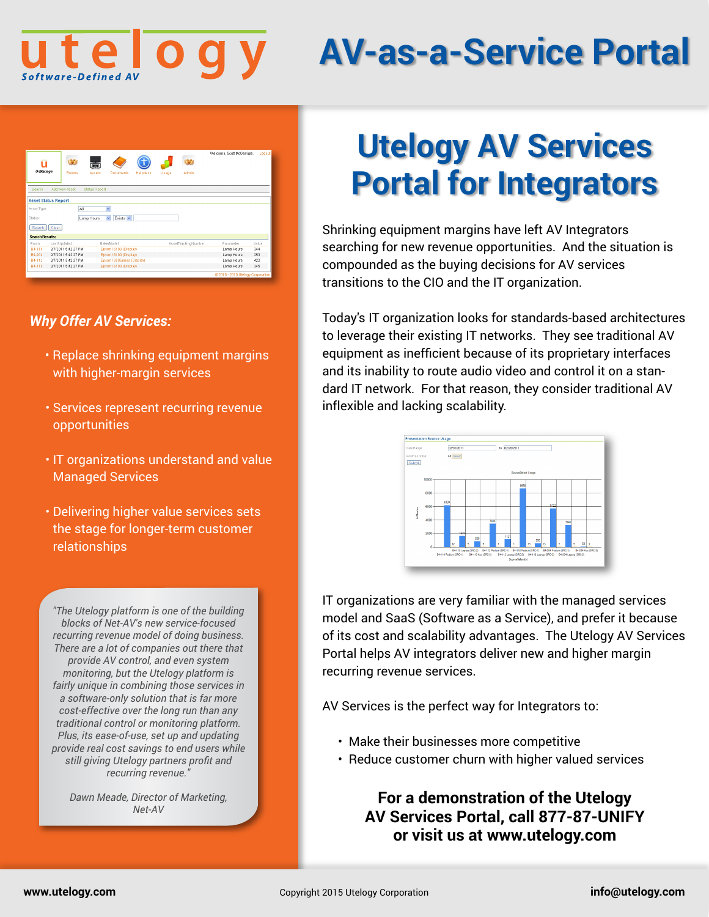

# **AV-as-a-Service Portal**

|                        |                            |                                        |          |       |                     | Welcome, Scott McGarrigle, | Logout |
|------------------------|----------------------------|----------------------------------------|----------|-------|---------------------|----------------------------|--------|
| п                      | M                          | हज                                     |          |       | M                   |                            |        |
| <b>U-Manage</b>        | Rooms                      | Assets<br>Documents                    | Helpdesk | Usage | Admin               |                            |        |
| Search                 | Add New Asset              | <b>Status Report</b>                   |          |       |                     |                            |        |
|                        | <b>Asset Status Report</b> |                                        |          |       |                     |                            |        |
| Asset Type:            | All                        | $\overline{\mathbf{v}}$                |          |       |                     |                            |        |
| Status:                |                            | $\checkmark$<br>Exists v<br>Lamp Hours |          |       |                     |                            |        |
| Search                 | Clear                      |                                        |          |       |                     |                            |        |
| <b>Search Results:</b> |                            |                                        |          |       |                     |                            |        |
| Room                   | Last Updated               | Make/Model                             |          |       | AssetTrackingNumber | Parameter                  | Value  |
| B4-118                 | 2/7/2011 5:42:27 PM        | Epson / 6100 (Display)                 |          |       |                     | Lamp Hours                 | 344    |
| B4-204                 | 2/7/2011 5:42:27 PM        | Epson / 6100 (Display)                 |          |       |                     | Lamp Hours                 | 253    |
| B4-112                 | 2/7/2011 5:42:27 PM        | Epson / 800Series (Display)            |          |       |                     | Lamp Hours                 | 422    |
|                        | 2/7/2011 5:42:27 PM        | Epson / 6100 (Display)                 |          |       |                     | Lamp Hours                 | 345    |

## *Why Offer AV Services:*

- Replace shrinking equipment margins with higher-margin services
- Services represent recurring revenue opportunities
- IT organizations understand and value Managed Services
- Delivering higher value services sets the stage for longer-term customer relationships

*"The Utelogy platform is one of the building blocks of Net-AV's new service-focused recurring revenue model of doing business. There are a lot of companies out there that provide AV control, and even system monitoring, but the Utelogy platform is fairly unique in combining those services in a software-only solution that is far more cost-effective over the long run than any traditional control or monitoring platform. Plus, its ease-of-use, set up and updating provide real cost savings to end users while still giving Utelogy partners profit and recurring revenue."*

*Dawn Meade, Director of Marketing, Net-AV*

## **Utelogy AV Services Portal for Integrators**

Shrinking equipment margins have left AV Integrators searching for new revenue opportunities. And the situation is compounded as the buying decisions for AV services transitions to the CIO and the IT organization.

Today's IT organization looks for standards-based architectures to leverage their existing IT networks. They see traditional AV equipment as inefficient because of its proprietary interfaces and its inability to route audio video and control it on a standard IT network. For that reason, they consider traditional AV inflexible and lacking scalability.



IT organizations are very familiar with the managed services model and SaaS (Software as a Service), and prefer it because of its cost and scalability advantages. The Utelogy AV Services Portal helps AV integrators deliver new and higher margin recurring revenue services.

AV Services is the perfect way for Integrators to:

- Make their businesses more competitive
- Reduce customer churn with higher valued services

## **For a demonstration of the Utelogy AV Services Portal, call 877-87-UNIFY or visit us at www.utelogy.com**